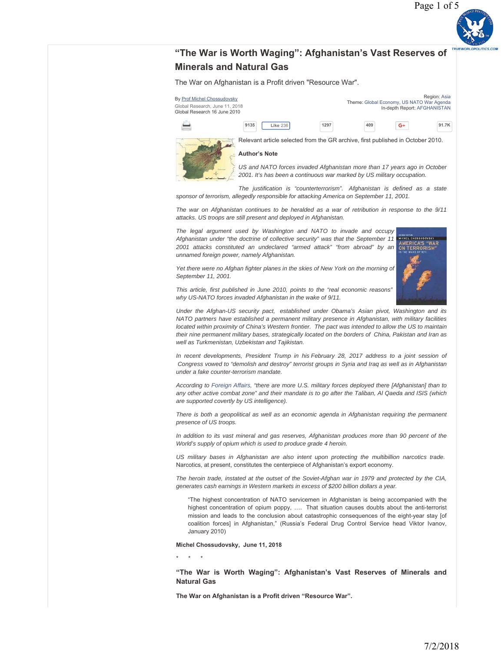



**Michel Chossudovsky, June 11, 2018**

\* \* \*

**"The War is Worth Waging": Afghanistan's Vast Reserves of Minerals and Natural Gas**

**The War on Afghanistan is a Profit driven "Resource War".**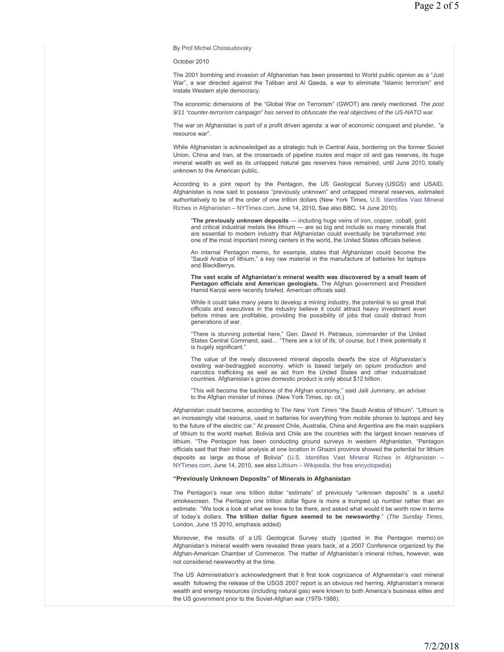# By Prof Michel Chossudovsky

October 2010

The 2001 bombing and invasion of Afghanistan has been presented to World public opinion as a "Just War", a war directed against the Taliban and Al Qaeda, a war to eliminate "Islamic terrorism" and instate Western style democracy.

The economic dimensions of the "Global War on Terrorism" (GWOT) are rarely mentioned. *The post 9/11 "counter-terrorism campaign" has served to obfuscate the real objectives of the US-NATO war.* 

The war on Afghanistan is part of a profit driven agenda: a war of economic conquest and plunder, "a resource war".

While Afghanistan is acknowledged as a strategic hub in Central Asia, bordering on the former Soviet Union, China and Iran, at the crossroads of pipeline routes and major oil and gas reserves, its huge mineral wealth as well as its untapped natural gas reserves have remained, until June 2010, totally unknown to the American public.

According to a joint report by the Pentagon, the US Geological Survey (USGS) and USAID, Afghanistan is now said to possess "previously unknown" and untapped mineral reserves, estimated authoritatively to be of the order of one trillion dollars (New York Times, U.S. Identifies Vast Mineral Riches in Afghanistan – NYTimes.com, June 14, 2010, See also BBC, 14 June 2010).

"**The previously unknown deposits** — including huge veins of iron, copper, cobalt, gold and critical industrial metals like lithium — are so big and include so many minerals that are essential to modern industry that Afghanistan could eventually be transformed into one of the most important mining centers in the world, the United States officials believe.

An internal Pentagon memo, for example, states that Afghanistan could become the "Saudi Arabia of lithium," a key raw material in the manufacture of batteries for laptops and BlackBerrys.

**The vast scale of Afghanistan's mineral wealth was discovered by a small team of Pentagon officials and American geologists.** The Afghan government and President Hamid Karzai were recently briefed, American officials said.

While it could take many years to develop a mining industry, the potential is so great that officials and executives in the industry believe it could attract heavy investment even before mines are profitable, providing the possibility of jobs that could distract from generations of war.

"There is stunning potential here," Gen. David H. Petraeus, commander of the United States Central Command, said… "There are a lot of ifs, of course, but I think potentially it is hugely significant."

The value of the newly discovered mineral deposits dwarfs the size of Afghanistan's existing war-bedraggled economy, which is based largely on opium production and narcotics trafficking as well as aid from the United States and other industrialized countries. Afghanistan's gross domestic product is only about \$12 billion.

"This will become the backbone of the Afghan economy," said Jalil Jumriany, an adviser to the Afghan minister of mines. (New York Times, op. cit.)

Afghanistan could become, according to T*he New York Times* "the Saudi Arabia of lithium". "Lithium is an increasingly vital resource, used in batteries for everything from mobile phones to laptops and key to the future of the electric car." At present Chile, Australia, China and Argentina are the main suppliers of lithium to the world market. Bolivia and Chile are the countries with the largest known reserves of lithium. "The Pentagon has been conducting ground surveys in western Afghanistan. "Pentagon officials said that their initial analysis at one location in Ghazni province showed the potential for lithium deposits as large as those of Bolivia" (U.S. Identifies Vast Mineral Riches in Afghanistan – NYTimes.com, June 14, 2010, see also Lithium – Wikipedia, the free encyclopedia)

# **"Previously Unknown Deposits" of Minerals in Afghanistan**

The Pentagon's near one trillion dollar "estimate" of previously "unknown deposits" is a useful smokescreen. The Pentagon one trillion dollar figure is more a trumped up number rather than an estimate: "We took a look at what we knew to be there, and asked what would it be worth now in terms of today's dollars. **The trillion dollar figure seemed to be newsworthy**." (*The Sunday Times*, London, June 15 2010, emphasis added)

Moreover, the results of a US Geological Survey study (quoted in the Pentagon memo) on Afghanistan's mineral wealth were revealed three years back, at a 2007 Conference organized by the Afghan-American Chamber of Commerce. The matter of Afghanistan's mineral riches, however, was not considered newsworthy at the time.

The US Administration's acknowledgment that it first took cognizance of Afghanistan's vast mineral wealth following the release of the USGS 2007 report is an obvious red herring. Afghanistan's mineral wealth and energy resources (including natural gas) were known to both America's business elites and the US government prior to the Soviet-Afghan war (1979-1988).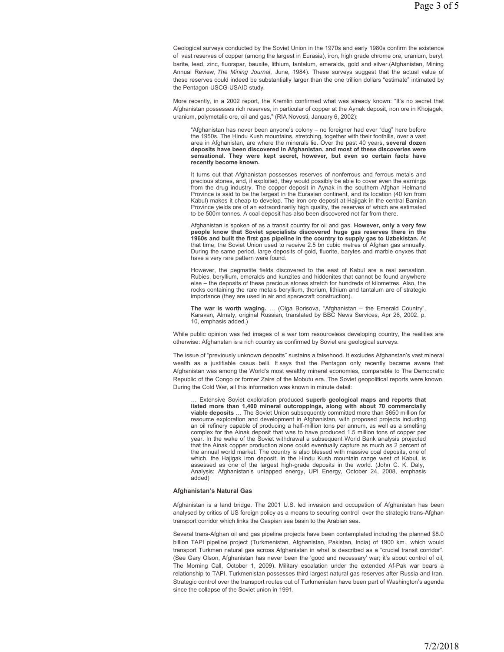Geological surveys conducted by the Soviet Union in the 1970s and early 1980s confirm the existence of vast reserves of copper (among the largest in Eurasia), iron, high grade chrome ore, uranium, beryl, barite, lead, zinc, fluorspar, bauxite, lithium, tantalum, emeralds, gold and silver.(Afghanistan, Mining Annual Review, *The Mining Journal*, June, 1984). These surveys suggest that the actual value of these reserves could indeed be substantially larger than the one trillion dollars "estimate" intimated by the Pentagon-USCG-USAID study*.* 

More recently, in a 2002 report, the Kremlin confirmed what was already known: "It's no secret that Afghanistan possesses rich reserves, in particular of copper at the Aynak deposit, iron ore in Khojagek, uranium, polymetalic ore, oil and gas," (RIA Novosti, January 6, 2002):

"Afghanistan has never been anyone's colony – no foreigner had ever "dug" here before the 1950s. The Hindu Kush mountains, stretching, together with their foothills, over a vast area in Afghanistan, are where the minerals lie. Over the past 40 years, **several dozen deposits have been discovered in Afghanistan, and most of these discoveries were sensational. They were kept secret, however, but even so certain facts have recently become known.**

It turns out that Afghanistan possesses reserves of nonferrous and ferrous metals and precious stones, and, if exploited, they would possibly be able to cover even the earnings from the drug industry. The copper deposit in Aynak in the southern Afghan Helmand Province is said to be the largest in the Eurasian continent, and its location (40 km from Kabul) makes it cheap to develop. The iron ore deposit at Hajigak in the central Bamian Province yields ore of an extraordinarily high quality, the reserves of which are estimated to be 500m tonnes. A coal deposit has also been discovered not far from there.

Afghanistan is spoken of as a transit country for oil and gas. **However, only a very few people know that Soviet specialists discovered huge gas reserves there in the 1960s and built the first gas pipeline in the country to supply gas to Uzbekistan.** At that time, the Soviet Union used to receive 2.5 bn cubic metres of Afghan gas annually. During the same period, large deposits of gold, fluorite, barytes and marble onyxes that have a very rare pattern were found.

However, the pegmatite fields discovered to the east of Kabul are a real sensation. Rubies, beryllium, emeralds and kunzites and hiddenites that cannot be found anywhere else – the deposits of these precious stones stretch for hundreds of kilometres. Also, the rocks containing the rare metals beryllium, thorium, lithium and tantalum are of strategic importance (they are used in air and spacecraft construction).

**The war is worth waging.** … (Olga Borisova, "Afghanistan – the Emerald Country", Karavan, Almaty, original Russian, translated by BBC News Services, Apr 26, 2002. p. 10, emphasis added.)

While public opinion was fed images of a war torn resourceless developing country, the realities are otherwise: Afghanstan is a rich country as confirmed by Soviet era geological surveys.

The issue of "previously unknown deposits" sustains a falsehood. It excludes Afghanstan's vast mineral wealth as a justifiable casus belli. It says that the Pentagon only recently became aware that Afghanistan was among the World's most wealthy mineral economies, comparable to The Democratic Republic of the Congo or former Zaire of the Mobutu era. The Soviet geopolitical reports were known. During the Cold War, all this information was known in minute detail:

… Extensive Soviet exploration produced **superb geological maps and reports that listed more than 1,400 mineral outcroppings, along with about 70 commercially viable deposits** … The Soviet Union subsequently committed more than \$650 million for resource exploration and development in Afghanistan, with proposed projects including an oil refinery capable of producing a half-million tons per annum, as well as a smelting complex for the Ainak deposit that was to have produced 1.5 million tons of copper per year. In the wake of the Soviet withdrawal a subsequent World Bank analysis projected that the Ainak copper production alone could eventually capture as much as 2 percent of the annual world market. The country is also blessed with massive coal deposits, one of which, the Hajigak iron deposit, in the Hindu Kush mountain range west of Kabul, is assessed as one of the largest high-grade deposits in the world. (John C. K. Daly, Analysis: Afghanistan's untapped energy, UPI Energy, October 24, 2008, emphasis added)

## **Afghanistan's Natural Gas**

Afghanistan is a land bridge. The 2001 U.S. led invasion and occupation of Afghanistan has been analysed by critics of US foreign policy as a means to securing control over the strategic trans-Afghan transport corridor which links the Caspian sea basin to the Arabian sea.

Several trans-Afghan oil and gas pipeline projects have been contemplated including the planned \$8.0 billion TAPI pipeline project (Turkmenistan, Afghanistan, Pakistan, India) of 1900 km., which would transport Turkmen natural gas across Afghanistan in what is described as a "crucial transit corridor". (See Gary Olson, Afghanistan has never been the 'good and necessary' war; it's about control of oil, The Morning Call, October 1, 2009). Military escalation under the extended Af-Pak war bears a relationship to TAPI. Turkmenistan possesses third largest natural gas reserves after Russia and Iran. Strategic control over the transport routes out of Turkmenistan have been part of Washington's agenda since the collapse of the Soviet union in 1991.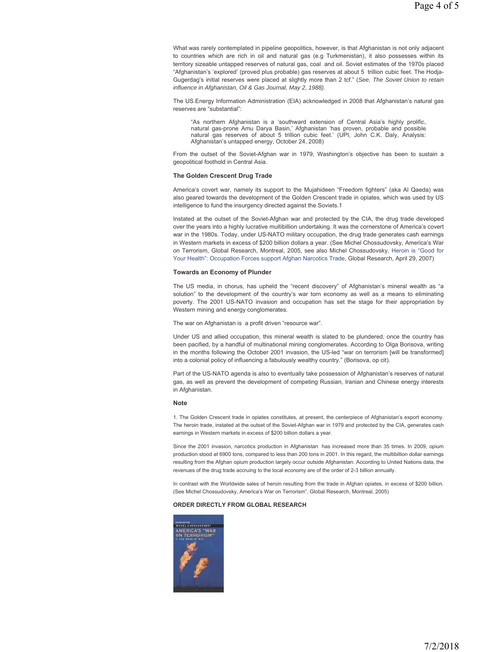What was rarely contemplated in pipeline geopolitics, however, is that Afghanistan is not only adjacent to countries which are rich in oil and natural gas (e.g Turkmenistan), it also possesses within its territory sizeable untapped reserves of natural gas, coal and oil. Soviet estimates of the 1970s placed "Afghanistan's 'explored' (proved plus probable) gas reserves at about 5 trillion cubic feet. The Hodja-Gugerdag's initial reserves were placed at slightly more than 2 tcf." (*See, The Soviet Union to retain influence in Afghanistan, Oil & Gas Journal, May 2, 1988).* 

The US.Energy Information Administration (EIA) acknowledged in 2008 that Afghanistan's natural gas reserves are "substantial":

"As northern Afghanistan is a 'southward extension of Central Asia's highly prolific, natural gas-prone Amu Darya Basin,' Afghanistan 'has proven, probable and possible natural gas reserves of about 5 trillion cubic feet.' (UPI, John C.K. Daly, Analysis: Afghanistan's untapped energy, October 24, 2008)

From the outset of the Soviet-Afghan war in 1979, Washington's objective has been to sustain a geopolitical foothold in Central Asia.

# **The Golden Crescent Drug Trade**

America's covert war, namely its support to the Mujahideen "Freedom fighters" (aka Al Qaeda) was also geared towards the development of the Golden Crescent trade in opiates, which was used by US intelligence to fund the insurgency directed against the Soviets.1

Instated at the outset of the Soviet-Afghan war and protected by the CIA, the drug trade developed over the years into a highly lucrative multibillion undertaking. It was the cornerstone of America's covert war in the 1980s. Today, under US-NATO military occupation, the drug trade generates cash earnings in Western markets in excess of \$200 billion dollars a year. (See Michel Chossudovsky, America's War on Terrorism, Global Research, Montreal, 2005, see also Michel Chossudovsky, Heroin is "Good for Your Health": Occupation Forces support Afghan Narcotics Trade, Global Research, April 29, 2007)

### **Towards an Economy of Plunder**

The US media, in chorus, has upheld the "recent discovery" of Afghanistan's mineral wealth as "a solution" to the development of the country's war torn economy as well as a means to eliminating poverty. The 2001 US-NATO invasion and occupation has set the stage for their appropriation by Western mining and energy conglomerates.

The war on Afghanistan is a profit driven "resource war".

Under US and allied occupation, this mineral wealth is slated to be plundered, once the country has been pacified, by a handful of multinational mining conglomerates. According to Olga Borisova, writing in the months following the October 2001 invasion, the US-led "war on terrorism [will be transformed] into a colonial policy of influencing a fabulously wealthy country." (Borisova, op cit).

Part of the US-NATO agenda is also to eventually take possession of Afghanistan's reserves of natural gas, as well as prevent the development of competing Russian, Iranian and Chinese energy interests in Afghanistan.

#### **Note**

1. The Golden Crescent trade in opiates constitutes, at present, the centerpiece of Afghanistan's export economy. The heroin trade, instated at the outset of the Soviet-Afghan war in 1979 and protected by the CIA, generates cash earnings in Western markets in excess of \$200 billion dollars a year.

Since the 2001 invasion, narcotics production in Afghanistan has increased more than 35 times. In 2009, opium production stood at 6900 tons, compared to less than 200 tons in 2001. In this regard, the multibillion dollar earnings resulting from the Afghan opium production largely occur outside Afghanistan. According to United Nations data, the revenues of the drug trade accruing to the local economy are of the order of 2-3 billion annually.

In contrast with the Worldwide sales of heroin resulting from the trade in Afghan opiates, in excess of \$200 billion. (See Michel Chossudovsky, America's War on Terrorism", Global Research, Montreal, 2005)

### **ORDER DIRECTLY FROM GLOBAL RESEARCH**